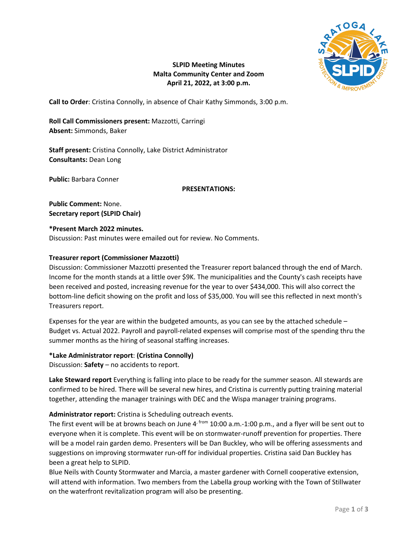

# **SLPID Meeting Minutes Malta Community Center and Zoom April 21, 2022, at 3:00 p.m.**

**Call to Order**: Cristina Connolly, in absence of Chair Kathy Simmonds, 3:00 p.m.

**Roll Call Commissioners present:** Mazzotti, Carringi **Absent:** Simmonds, Baker

**Staff present:** Cristina Connolly, Lake District Administrator **Consultants:** Dean Long

**Public:** Barbara Conner

## **PRESENTATIONS:**

**Public Comment:** None. **Secretary report (SLPID Chair)**

## **\*Present March 2022 minutes.**

Discussion: Past minutes were emailed out for review. No Comments.

## **Treasurer report (Commissioner Mazzotti)**

Discussion: Commissioner Mazzotti presented the Treasurer report balanced through the end of March. Income for the month stands at a little over \$9K. The municipalities and the County's cash receipts have been received and posted, increasing revenue for the year to over \$434,000. This will also correct the bottom-line deficit showing on the profit and loss of \$35,000. You will see this reflected in next month's Treasurers report.

Expenses for the year are within the budgeted amounts, as you can see by the attached schedule – Budget vs. Actual 2022. Payroll and payroll-related expenses will comprise most of the spending thru the summer months as the hiring of seasonal staffing increases.

**\*Lake Administrator report**: **(Cristina Connolly)** Discussion: **Safety** – no accidents to report.

**Lake Steward report** Everything is falling into place to be ready for the summer season. All stewards are confirmed to be hired. There will be several new hires, and Cristina is currently putting training material together, attending the manager trainings with DEC and the Wispa manager training programs.

**Administrator report:** Cristina is Scheduling outreach events.

The first event will be at browns beach on June  $4<sup>r</sup>$  from 10:00 a.m.-1:00 p.m., and a flyer will be sent out to everyone when it is complete. This event will be on stormwater-runoff prevention for properties. There will be a model rain garden demo. Presenters will be Dan Buckley, who will be offering assessments and suggestions on improving stormwater run-off for individual properties. Cristina said Dan Buckley has been a great help to SLPID.

Blue Neils with County Stormwater and Marcia, a master gardener with Cornell cooperative extension, will attend with information. Two members from the Labella group working with the Town of Stillwater on the waterfront revitalization program will also be presenting.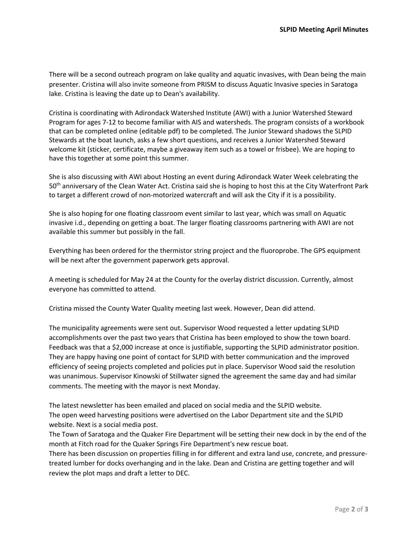There will be a second outreach program on lake quality and aquatic invasives, with Dean being the main presenter. Cristina will also invite someone from PRISM to discuss Aquatic Invasive species in Saratoga lake. Cristina is leaving the date up to Dean's availability.

Cristina is coordinating with Adirondack Watershed Institute (AWI) with a Junior Watershed Steward Program for ages 7-12 to become familiar with AIS and watersheds. The program consists of a workbook that can be completed online (editable pdf) to be completed. The Junior Steward shadows the SLPID Stewards at the boat launch, asks a few short questions, and receives a Junior Watershed Steward welcome kit (sticker, certificate, maybe a giveaway item such as a towel or frisbee). We are hoping to have this together at some point this summer.

She is also discussing with AWI about Hosting an event during Adirondack Water Week celebrating the 50<sup>th</sup> anniversary of the Clean Water Act. Cristina said she is hoping to host this at the City Waterfront Park to target a different crowd of non-motorized watercraft and will ask the City if it is a possibility.

She is also hoping for one floating classroom event similar to last year, which was small on Aquatic invasive i.d., depending on getting a boat. The larger floating classrooms partnering with AWI are not available this summer but possibly in the fall.

Everything has been ordered for the thermistor string project and the fluoroprobe. The GPS equipment will be next after the government paperwork gets approval.

A meeting is scheduled for May 24 at the County for the overlay district discussion. Currently, almost everyone has committed to attend.

Cristina missed the County Water Quality meeting last week. However, Dean did attend.

The municipality agreements were sent out. Supervisor Wood requested a letter updating SLPID accomplishments over the past two years that Cristina has been employed to show the town board. Feedback was that a \$2,000 increase at once is justifiable, supporting the SLPID administrator position. They are happy having one point of contact for SLPID with better communication and the improved efficiency of seeing projects completed and policies put in place. Supervisor Wood said the resolution was unanimous. Supervisor Kinowski of Stillwater signed the agreement the same day and had similar comments. The meeting with the mayor is next Monday.

The latest newsletter has been emailed and placed on social media and the SLPID website. The open weed harvesting positions were advertised on the Labor Department site and the SLPID website. Next is a social media post.

The Town of Saratoga and the Quaker Fire Department will be setting their new dock in by the end of the month at Fitch road for the Quaker Springs Fire Department's new rescue boat.

There has been discussion on properties filling in for different and extra land use, concrete, and pressuretreated lumber for docks overhanging and in the lake. Dean and Cristina are getting together and will review the plot maps and draft a letter to DEC.